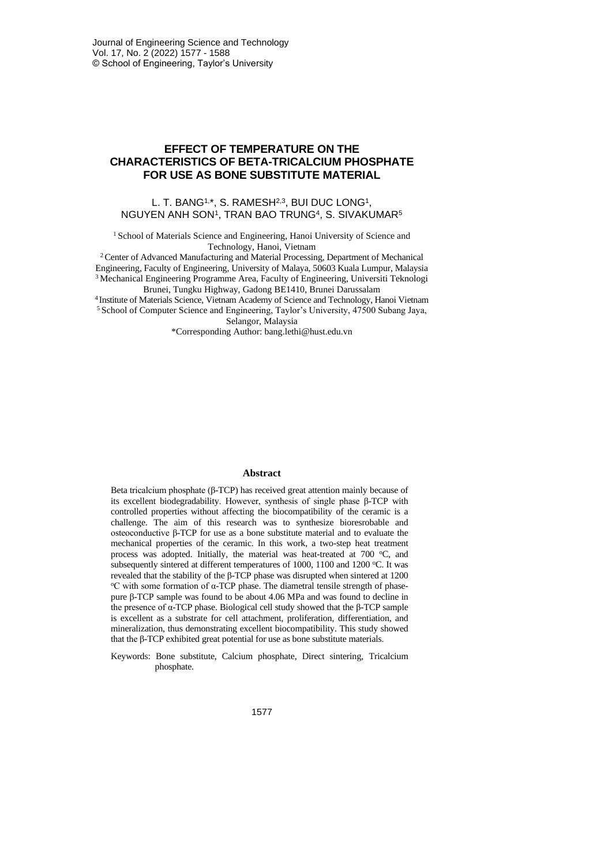# **EFFECT OF TEMPERATURE ON THE CHARACTERISTICS OF BETA-TRICALCIUM PHOSPHATE FOR USE AS BONE SUBSTITUTE MATERIAL**

## L. T. BANG<sup>1,\*</sup>, S. RAMESH<sup>2,3</sup>, BUI DUC LONG<sup>1</sup>, NGUYEN ANH SON1, TRAN BAO TRUNG<sup>4</sup>, S. SIVAKUMAR<sup>5</sup>

<sup>1</sup> School of Materials Science and Engineering, Hanoi University of Science and Technology, Hanoi, Vietnam

<sup>2</sup>Center of Advanced Manufacturing and Material Processing, Department of Mechanical Engineering, Faculty of Engineering, University of Malaya, 50603 Kuala Lumpur, Malaysia <sup>3</sup> Mechanical Engineering Programme Area, Faculty of Engineering, Universiti Teknologi Brunei, Tungku Highway, Gadong BE1410, Brunei Darussalam

4 Institute of Materials Science, Vietnam Academy of Science and Technology, Hanoi Vietnam <sup>5</sup> School of Computer Science and Engineering, Taylor's University, 47500 Subang Jaya,

Selangor, Malaysia

\*Corresponding Author: bang.lethi@hust.edu.vn

#### **Abstract**

Beta tricalcium phosphate (β-TCP) has received great attention mainly because of its excellent biodegradability. However, synthesis of single phase β-TCP with controlled properties without affecting the biocompatibility of the ceramic is a challenge. The aim of this research was to synthesize bioresrobable and osteoconductive β-TCP for use as a bone substitute material and to evaluate the mechanical properties of the ceramic. In this work, a two-step heat treatment process was adopted. Initially, the material was heat-treated at 700 °C, and subsequently sintered at different temperatures of 1000, 1100 and 1200 °C. It was revealed that the stability of the β-TCP phase was disrupted when sintered at 1200 <sup>o</sup>C with some formation of α-TCP phase. The diametral tensile strength of phasepure β-TCP sample was found to be about 4.06 MPa and was found to decline in the presence of α-TCP phase. Biological cell study showed that the β-TCP sample is excellent as a substrate for cell attachment, proliferation, differentiation, and mineralization, thus demonstrating excellent biocompatibility. This study showed that the β-TCP exhibited great potential for use as bone substitute materials.

Keywords: Bone substitute, Calcium phosphate, Direct sintering, Tricalcium phosphate.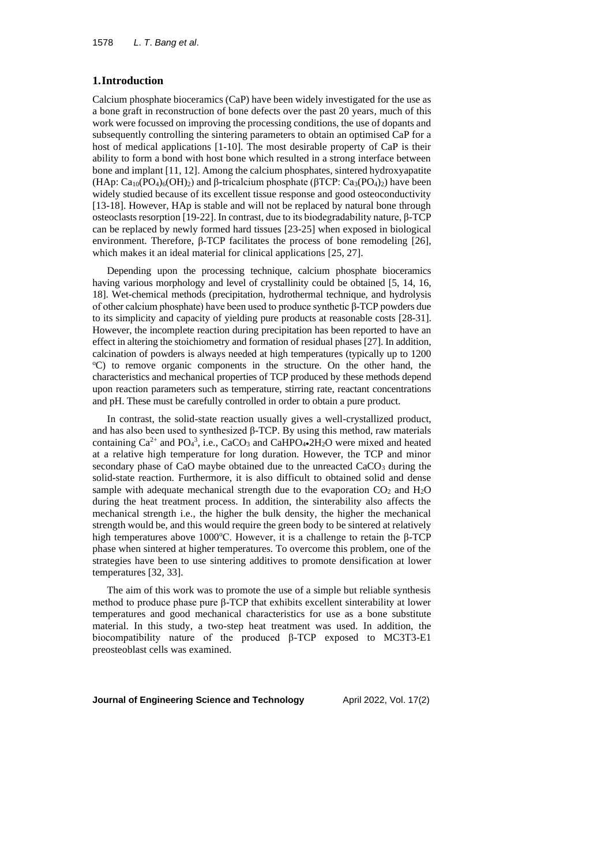## **1.Introduction**

Calcium phosphate bioceramics (CaP) have been widely investigated for the use as a bone graft in reconstruction of bone defects over the past 20 years, much of this work were focussed on improving the processing conditions, the use of dopants and subsequently controlling the sintering parameters to obtain an optimised CaP for a host of medical applications [1-10]. The most desirable property of CaP is their ability to form a bond with host bone which resulted in a strong interface between bone and implant [11, 12]. Among the calcium phosphates, sintered hydroxyapatite (HAp:  $Ca_{10}(PO_4)_6(OH)_2$ ) and β-tricalcium phosphate ( $\beta$ TCP:  $Ca_3(PO_4)_2$ ) have been widely studied because of its excellent tissue response and good osteoconductivity [13-18]. However, HAp is stable and will not be replaced by natural bone through osteoclasts resorption [19-22]. In contrast, due to its biodegradability nature, β-TCP can be replaced by newly formed hard tissues [23-25] when exposed in biological environment. Therefore, β-TCP facilitates the process of bone remodeling [26], which makes it an ideal material for clinical applications [25, 27].

Depending upon the processing technique, calcium phosphate bioceramics having various morphology and level of crystallinity could be obtained [5, 14, 16, 18]. Wet-chemical methods (precipitation, hydrothermal technique, and hydrolysis of other calcium phosphate) have been used to produce synthetic β-TCP powders due to its simplicity and capacity of yielding pure products at reasonable costs [28-31]. However, the incomplete reaction during precipitation has been reported to have an effect in altering the stoichiometry and formation of residual phases [27]. In addition, calcination of powders is always needed at high temperatures (typically up to 1200 <sup>o</sup>C) to remove organic components in the structure. On the other hand, the characteristics and mechanical properties of TCP produced by these methods depend upon reaction parameters such as temperature, stirring rate, reactant concentrations and pH. These must be carefully controlled in order to obtain a pure product.

In contrast, the solid-state reaction usually gives a well-crystallized product, and has also been used to synthesized  $\beta$ -TCP. By using this method, raw materials containing  $Ca^{2+}$  and PO<sub>4</sub><sup>3</sup>, i.e., CaCO<sub>3</sub> and CaHPO<sub>4</sub>•2H<sub>2</sub>O were mixed and heated at a relative high temperature for long duration. However, the TCP and minor secondary phase of CaO maybe obtained due to the unreacted  $CaCO<sub>3</sub>$  during the solid-state reaction. Furthermore, it is also difficult to obtained solid and dense sample with adequate mechanical strength due to the evaporation  $CO<sub>2</sub>$  and  $H<sub>2</sub>O$ during the heat treatment process. In addition, the sinterability also affects the mechanical strength i.e., the higher the bulk density, the higher the mechanical strength would be, and this would require the green body to be sintered at relatively high temperatures above 1000°C. However, it is a challenge to retain the β-TCP phase when sintered at higher temperatures. To overcome this problem, one of the strategies have been to use sintering additives to promote densification at lower temperatures [32, 33].

The aim of this work was to promote the use of a simple but reliable synthesis method to produce phase pure β-TCP that exhibits excellent sinterability at lower temperatures and good mechanical characteristics for use as a bone substitute material. In this study, a two-step heat treatment was used. In addition, the biocompatibility nature of the produced β-TCP exposed to MC3T3-E1 preosteoblast cells was examined.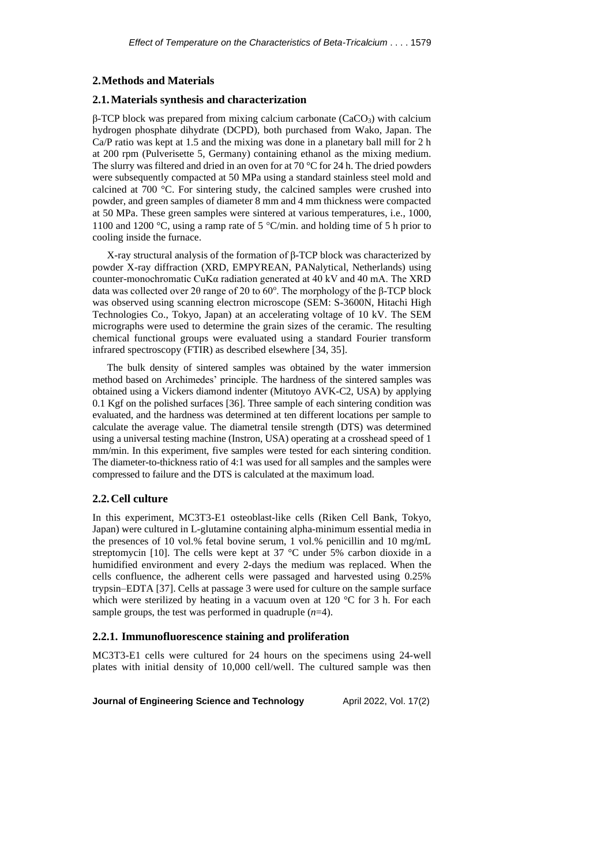## **2.Methods and Materials**

#### **2.1.Materials synthesis and characterization**

 $β$ -TCP block was prepared from mixing calcium carbonate (CaCO<sub>3</sub>) with calcium hydrogen phosphate dihydrate (DCPD), both purchased from Wako, Japan. The Ca/P ratio was kept at 1.5 and the mixing was done in a planetary ball mill for 2 h at 200 rpm (Pulverisette 5, Germany) containing ethanol as the mixing medium. The slurry was filtered and dried in an oven for at 70 °C for 24 h. The dried powders were subsequently compacted at 50 MPa using a standard stainless steel mold and calcined at 700 °C. For sintering study, the calcined samples were crushed into powder, and green samples of diameter 8 mm and 4 mm thickness were compacted at 50 MPa. These green samples were sintered at various temperatures, i.e., 1000, 1100 and 1200 °C, using a ramp rate of 5 °C/min. and holding time of 5 h prior to cooling inside the furnace.

X-ray structural analysis of the formation of β-TCP block was characterized by powder X-ray diffraction (XRD, EMPYREAN, PANalytical, Netherlands) using counter-monochromatic CuK $\alpha$  radiation generated at 40 kV and 40 mA. The XRD data was collected over 2θ range of 20 to 60°. The morphology of the  $β$ -TCP block was observed using scanning electron microscope (SEM: S-3600N, Hitachi High Technologies Co., Tokyo, Japan) at an accelerating voltage of 10 kV. The SEM micrographs were used to determine the grain sizes of the ceramic. The resulting chemical functional groups were evaluated using a standard Fourier transform infrared spectroscopy (FTIR) as described elsewhere [34, 35].

The bulk density of sintered samples was obtained by the water immersion method based on Archimedes' principle. The hardness of the sintered samples was obtained using a Vickers diamond indenter (Mitutoyo AVK-C2, USA) by applying 0.1 Kgf on the polished surfaces [36]. Three sample of each sintering condition was evaluated, and the hardness was determined at ten different locations per sample to calculate the average value. The diametral tensile strength (DTS) was determined using a universal testing machine (Instron, USA) operating at a crosshead speed of 1 mm/min. In this experiment, five samples were tested for each sintering condition. The diameter-to-thickness ratio of 4:1 was used for all samples and the samples were compressed to failure and the DTS is calculated at the maximum load.

## **2.2.Cell culture**

In this experiment, MC3T3-E1 osteoblast-like cells (Riken Cell Bank, Tokyo, Japan) were cultured in L-glutamine containing alpha-minimum essential media in the presences of 10 vol.% fetal bovine serum, 1 vol.% penicillin and 10 mg/mL streptomycin [10]. The cells were kept at 37 °C under 5% carbon dioxide in a humidified environment and every 2-days the medium was replaced. When the cells confluence, the adherent cells were passaged and harvested using 0.25% trypsin–EDTA [37]. Cells at passage 3 were used for culture on the sample surface which were sterilized by heating in a vacuum oven at 120 °C for 3 h. For each sample groups, the test was performed in quadruple (*n*=4).

## **2.2.1. Immunofluorescence staining and proliferation**

MC3T3-E1 cells were cultured for 24 hours on the specimens using 24-well plates with initial density of 10,000 cell/well. The cultured sample was then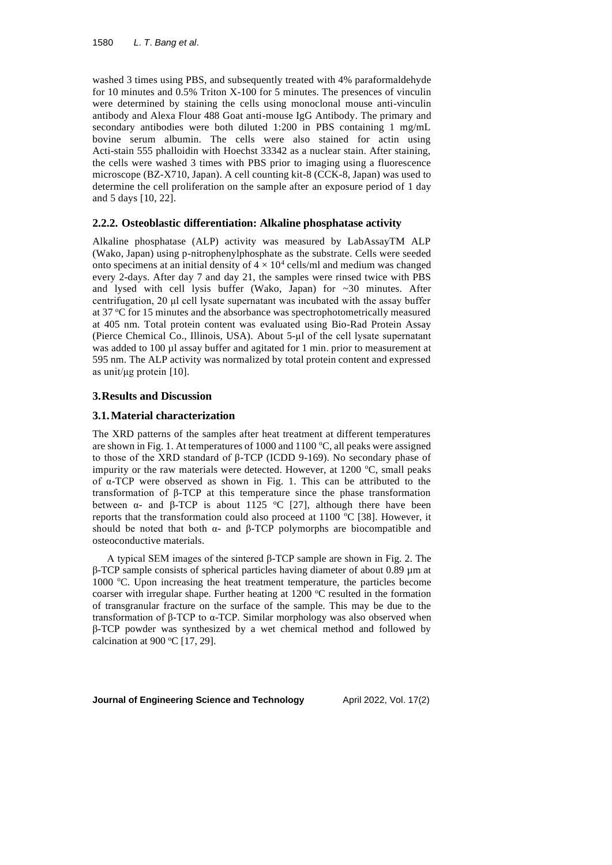washed 3 times using PBS, and subsequently treated with 4% paraformaldehyde for 10 minutes and 0.5% Triton X-100 for 5 minutes. The presences of vinculin were determined by staining the cells using monoclonal mouse anti-vinculin antibody and Alexa Flour 488 Goat anti-mouse IgG Antibody. The primary and secondary antibodies were both diluted 1:200 in PBS containing 1 mg/mL bovine serum albumin. The cells were also stained for actin using Acti-stain 555 phalloidin with Hoechst 33342 as a nuclear stain. After staining, the cells were washed 3 times with PBS prior to imaging using a fluorescence microscope (BZ-X710, Japan). A cell counting kit-8 (CCK-8, Japan) was used to determine the cell proliferation on the sample after an exposure period of 1 day and 5 days [10, 22].

# **2.2.2. Osteoblastic differentiation: Alkaline phosphatase activity**

Alkaline phosphatase (ALP) activity was measured by LabAssayTM ALP (Wako, Japan) using p-nitrophenylphosphate as the substrate. Cells were seeded onto specimens at an initial density of  $4 \times 10^4$  cells/ml and medium was changed every 2-days. After day 7 and day 21, the samples were rinsed twice with PBS and lysed with cell lysis buffer (Wako, Japan) for ~30 minutes. After centrifugation, 20 μl cell lysate supernatant was incubated with the assay buffer at 37 °C for 15 minutes and the absorbance was spectrophotometrically measured at 405 nm. Total protein content was evaluated using Bio-Rad Protein Assay (Pierce Chemical Co., Illinois, USA). About 5-μl of the cell lysate supernatant was added to 100 µl assay buffer and agitated for 1 min. prior to measurement at 595 nm. The ALP activity was normalized by total protein content and expressed as unit/μg protein [10].

## **3.Results and Discussion**

## **3.1.Material characterization**

The XRD patterns of the samples after heat treatment at different temperatures are shown in Fig. 1. At temperatures of 1000 and 1100  $^{\circ}$ C, all peaks were assigned to those of the XRD standard of β-TCP (ICDD 9-169). No secondary phase of impurity or the raw materials were detected. However, at  $1200 \degree C$ , small peaks of α-TCP were observed as shown in Fig. 1. This can be attributed to the transformation of β-TCP at this temperature since the phase transformation between α- and β-TCP is about 1125 °C [27], although there have been reports that the transformation could also proceed at 1100  $^{\circ}$ C [38]. However, it should be noted that both  $\alpha$ - and  $\beta$ -TCP polymorphs are biocompatible and osteoconductive materials.

A typical SEM images of the sintered β-TCP sample are shown in Fig. 2. The β-TCP sample consists of spherical particles having diameter of about 0.89 µm at 1000  $^{\circ}$ C. Upon increasing the heat treatment temperature, the particles become coarser with irregular shape. Further heating at  $1200\degree C$  resulted in the formation of transgranular fracture on the surface of the sample. This may be due to the transformation of β-TCP to α-TCP. Similar morphology was also observed when β-TCP powder was synthesized by a wet chemical method and followed by calcination at 900 °C [17, 29].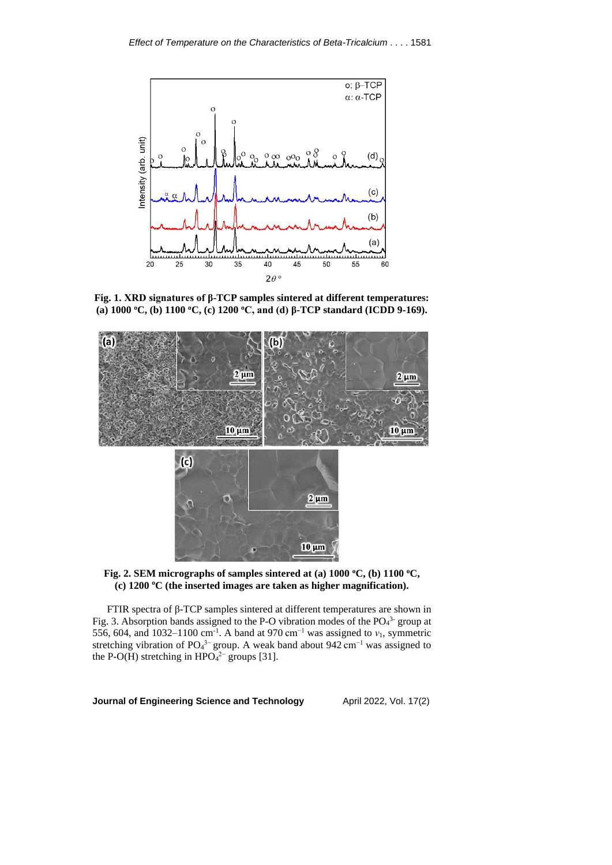

**Fig. 1. XRD signatures of β-TCP samples sintered at different temperatures: (a) 1000 <sup>o</sup>C, (b) 1100 <sup>o</sup>C, (c) 1200 <sup>o</sup>C, and (d) β-TCP standard (ICDD 9-169).**





FTIR spectra of β-TCP samples sintered at different temperatures are shown in Fig. 3. Absorption bands assigned to the P-O vibration modes of the  $PO<sub>4</sub><sup>3</sup>$ -group at 556, 604, and 1032–1100 cm<sup>-1</sup>. A band at 970 cm<sup>-1</sup> was assigned to  $v_1$ , symmetric stretching vibration of PO<sub>4</sub><sup>3–</sup> group. A weak band about 942 cm<sup>-1</sup> was assigned to the P-O(H) stretching in  $HPO<sub>4</sub><sup>2-</sup>$  groups [31].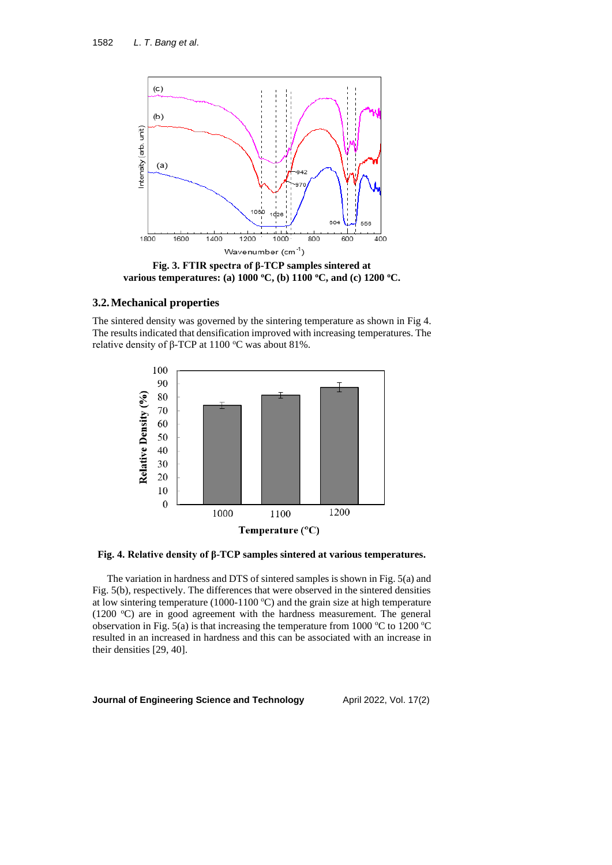

**Fig. 3. FTIR spectra of β-TCP samples sintered at various temperatures: (a) 1000 <sup>o</sup>C, (b) 1100 <sup>o</sup>C, and (c) 1200 <sup>o</sup>C.**

## **3.2.Mechanical properties**

The sintered density was governed by the sintering temperature as shown in Fig 4. The results indicated that densification improved with increasing temperatures. The relative density of β-TCP at 1100 °C was about 81%.



## **Fig. 4. Relative density of β-TCP samples sintered at various temperatures.**

The variation in hardness and DTS of sintered samples is shown in Fig. 5(a) and Fig. 5(b), respectively. The differences that were observed in the sintered densities at low sintering temperature (1000-1100  $^{\circ}$ C) and the grain size at high temperature (1200  $^{\circ}$ C) are in good agreement with the hardness measurement. The general observation in Fig. 5(a) is that increasing the temperature from 1000  $\degree$ C to 1200  $\degree$ C resulted in an increased in hardness and this can be associated with an increase in their densities [29, 40].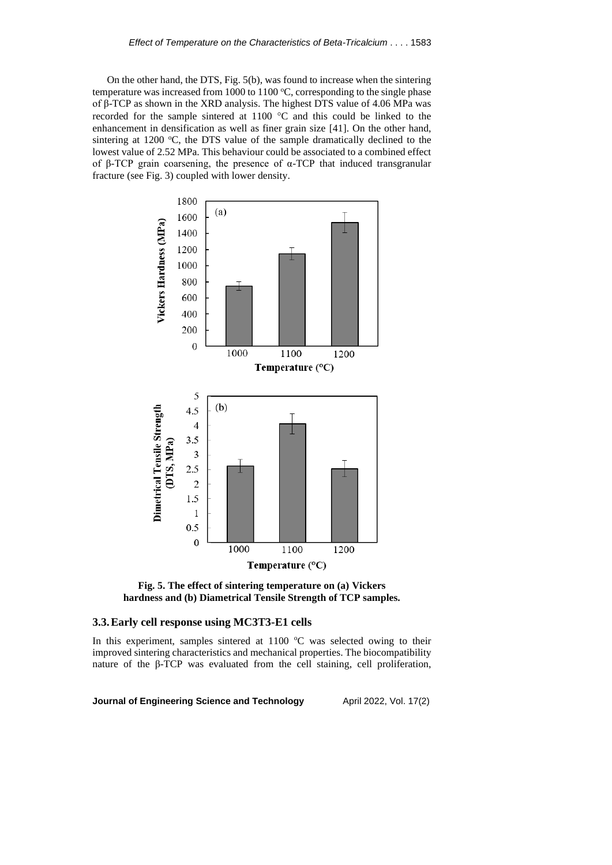On the other hand, the DTS, Fig. 5(b), was found to increase when the sintering temperature was increased from 1000 to 1100  $^{\circ}$ C, corresponding to the single phase of β-TCP as shown in the XRD analysis. The highest DTS value of 4.06 MPa was recorded for the sample sintered at  $1100$  °C and this could be linked to the enhancement in densification as well as finer grain size [41]. On the other hand, sintering at 1200  $\degree$ C, the DTS value of the sample dramatically declined to the lowest value of 2.52 MPa. This behaviour could be associated to a combined effect of β-TCP grain coarsening, the presence of α-TCP that induced transgranular fracture (see Fig. 3) coupled with lower density.



**Fig. 5. The effect of sintering temperature on (a) Vickers hardness and (b) Diametrical Tensile Strength of TCP samples.**

#### **3.3.Early cell response using MC3T3-E1 cells**

In this experiment, samples sintered at  $1100$  °C was selected owing to their improved sintering characteristics and mechanical properties. The biocompatibility nature of the β-TCP was evaluated from the cell staining, cell proliferation,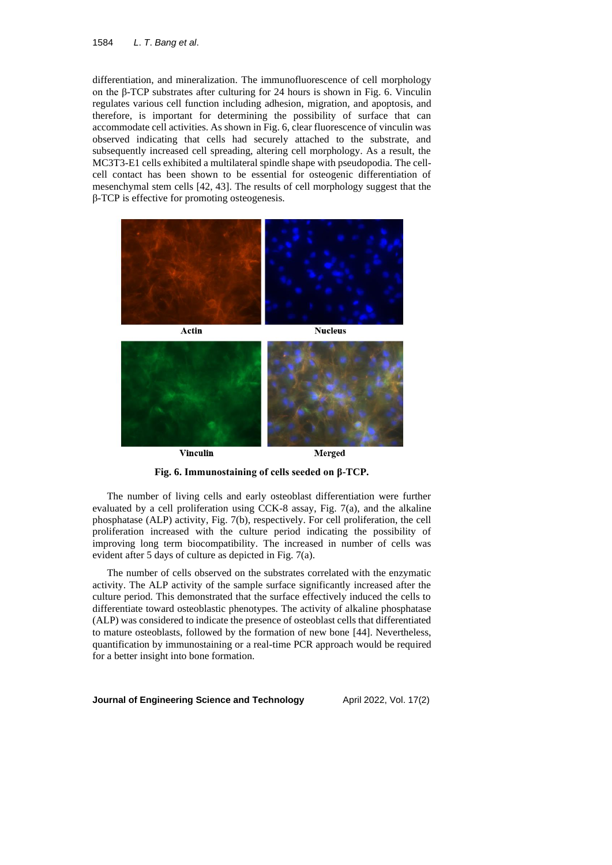#### 1584 *L*. *T*. *Bang et al*.

differentiation, and mineralization. The immunofluorescence of cell morphology on the β-TCP substrates after culturing for 24 hours is shown in Fig. 6. Vinculin regulates various cell function including adhesion, migration, and apoptosis, and therefore, is important for determining the possibility of surface that can accommodate cell activities. As shown in Fig. 6, clear fluorescence of vinculin was observed indicating that cells had securely attached to the substrate, and subsequently increased cell spreading, altering cell morphology. As a result, the MC3T3-E1 cells exhibited a multilateral spindle shape with pseudopodia. The cellcell contact has been shown to be essential for osteogenic differentiation of mesenchymal stem cells [42, 43]. The results of cell morphology suggest that the β-TCP is effective for promoting osteogenesis.





**Fig. 6. Immunostaining of cells seeded on β-TCP.**

The number of living cells and early osteoblast differentiation were further evaluated by a cell proliferation using CCK-8 assay, Fig. 7(a), and the alkaline phosphatase (ALP) activity, Fig. 7(b), respectively. For cell proliferation, the cell proliferation increased with the culture period indicating the possibility of improving long term biocompatibility. The increased in number of cells was evident after 5 days of culture as depicted in Fig. 7(a).

The number of cells observed on the substrates correlated with the enzymatic activity. The ALP activity of the sample surface significantly increased after the culture period. This demonstrated that the surface effectively induced the cells to differentiate toward osteoblastic phenotypes. The activity of alkaline phosphatase (ALP) was considered to indicate the presence of osteoblast cells that differentiated to mature osteoblasts, followed by the formation of new bone [44]. Nevertheless, quantification by immunostaining or a real-time PCR approach would be required for a better insight into bone formation.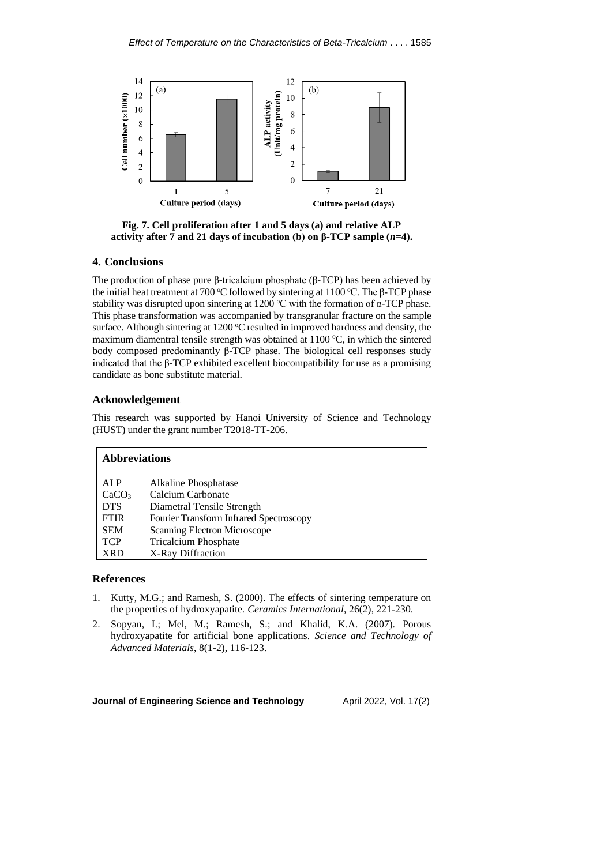

**Fig. 7. Cell proliferation after 1 and 5 days (a) and relative ALP activity after 7 and 21 days of incubation (b) on β-TCP sample (***n***=4).**

## **4. Conclusions**

The production of phase pure β-tricalcium phosphate (β-TCP) has been achieved by the initial heat treatment at 700 °C followed by sintering at 1100 °C. The β-TCP phase stability was disrupted upon sintering at 1200 °C with the formation of  $\alpha$ -TCP phase. This phase transformation was accompanied by transgranular fracture on the sample surface. Although sintering at  $1200$  °C resulted in improved hardness and density, the maximum diamentral tensile strength was obtained at  $1100^{\circ}$ C, in which the sintered body composed predominantly β-TCP phase. The biological cell responses study indicated that the β-TCP exhibited excellent biocompatibility for use as a promising candidate as bone substitute material.

## **Acknowledgement**

This research was supported by Hanoi University of Science and Technology (HUST) under the grant number T2018-TT-206.

| <b>Abbreviations</b> |                                                |
|----------------------|------------------------------------------------|
| ALP                  | Alkaline Phosphatase                           |
| CaCO <sub>3</sub>    | Calcium Carbonate                              |
| <b>DTS</b>           | Diametral Tensile Strength                     |
| <b>FTIR</b>          | <b>Fourier Transform Infrared Spectroscopy</b> |
| <b>SEM</b>           | Scanning Electron Microscope                   |
| <b>TCP</b>           | <b>Tricalcium Phosphate</b>                    |
| XRD                  | X-Ray Diffraction                              |

## **References**

- 1. Kutty, M.G.; and Ramesh, S. (2000). The effects of sintering temperature on the properties of hydroxyapatite. *Ceramics International*, 26(2), 221-230.
- 2. Sopyan, I.; Mel, M.; Ramesh, S.; and Khalid, K.A. (2007). Porous hydroxyapatite for artificial bone applications. *Science and Technology of Advanced Materials*, 8(1-2), 116-123.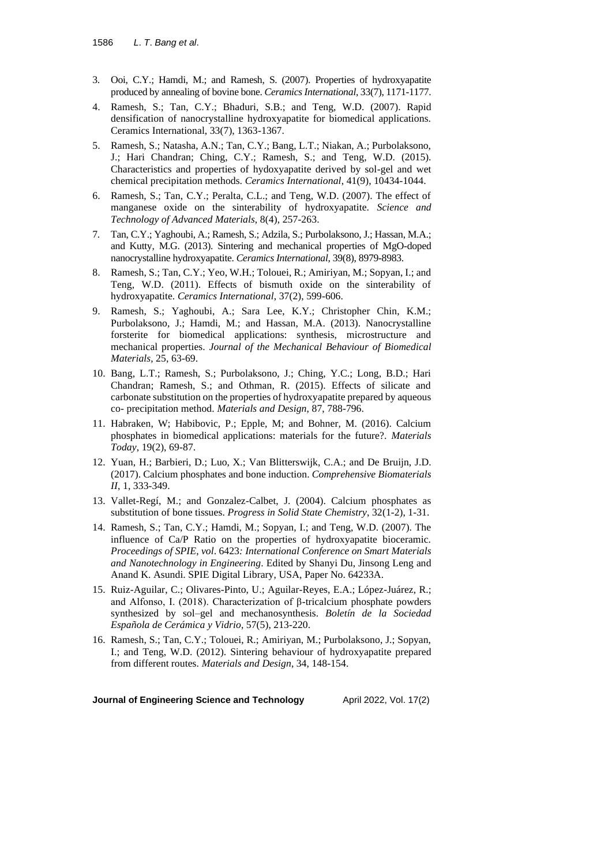- 3. Ooi, C.Y.; Hamdi, M.; and Ramesh, S. (2007). Properties of hydroxyapatite produced by annealing of bovine bone. *CeramicsInternational*, 33(7), 1171-1177.
- 4. Ramesh, S.; Tan, C.Y.; Bhaduri, S.B.; and Teng, W.D. (2007). Rapid densification of nanocrystalline hydroxyapatite for biomedical applications. Ceramics International, 33(7), 1363-1367.
- 5. Ramesh, S.; Natasha, A.N.; Tan, C.Y.; Bang, L.T.; Niakan, A.; Purbolaksono, J.; Hari Chandran; Ching, C.Y.; Ramesh, S.; and Teng, W.D. (2015). Characteristics and properties of hydoxyapatite derived by sol-gel and wet chemical precipitation methods. *Ceramics International*, 41(9), 10434-1044.
- 6. Ramesh, S.; Tan, C.Y.; Peralta, C.L.; and Teng, W.D. (2007). The effect of manganese oxide on the sinterability of hydroxyapatite. *Science and Technology of Advanced Materials*, 8(4), 257-263.
- 7. Tan, C.Y.; Yaghoubi, A.; Ramesh, S.; Adzila, S.; Purbolaksono, J.; Hassan, M.A.; and Kutty, M.G. (2013). Sintering and mechanical properties of MgO-doped nanocrystalline hydroxyapatite. *Ceramics International*, 39(8), 8979-8983.
- 8. Ramesh, S.; Tan, C.Y.; Yeo, W.H.; Tolouei, R.; Amiriyan, M.; Sopyan, I.; and Teng, W.D. (2011). Effects of bismuth oxide on the sinterability of hydroxyapatite. *Ceramics International*, 37(2), 599-606.
- 9. Ramesh, S.; Yaghoubi, A.; Sara Lee, K.Y.; Christopher Chin, K.M.; Purbolaksono, J.; Hamdi, M.; and Hassan, M.A. (2013). Nanocrystalline forsterite for biomedical applications: synthesis, microstructure and mechanical properties. *Journal of the Mechanical Behaviour of Biomedical Materials*, 25, 63-69.
- 10. Bang, L.T.; Ramesh, S.; Purbolaksono, J.; Ching, Y.C.; Long, B.D.; Hari Chandran; Ramesh, S.; and Othman, R. (2015). Effects of silicate and carbonate substitution on the properties of hydroxyapatite prepared by aqueous co- precipitation method. *Materials and Design*, 87, 788-796.
- 11. Habraken, W; Habibovic, P.; Epple, M; and Bohner, M. (2016). Calcium phosphates in biomedical applications: materials for the future?. *Materials Today*, 19(2), 69-87.
- 12. Yuan, H.; Barbieri, D.; Luo, X.; Van Blitterswijk, C.A.; and De Bruijn, J.D. (2017). Calcium phosphates and bone induction. *Comprehensive Biomaterials II*, 1, 333-349.
- 13. Vallet-Regí, M.; and Gonzalez-Calbet, J. (2004). Calcium phosphates as substitution of bone tissues. *Progress in Solid State Chemistry*, 32(1-2), 1-31.
- 14. Ramesh, S.; Tan, C.Y.; Hamdi, M.; Sopyan, I.; and Teng, W.D. (2007). The influence of Ca/P Ratio on the properties of hydroxyapatite bioceramic. *Proceedings of SPIE*, *vol*. 6423*: International Conference on Smart Materials and Nanotechnology in Engineering*. Edited by Shanyi Du, Jinsong Leng and Anand K. Asundi. SPIE Digital Library, USA, Paper No. 64233A.
- 15. Ruiz-Aguilar, C.; Olivares-Pinto, U.; Aguilar-Reyes, E.A.; López-Juárez, R.; and Alfonso, I. (2018). Characterization of β-tricalcium phosphate powders synthesized by sol–gel and mechanosynthesis. *Boletín de la Sociedad Española de Cerámica y Vidrio*, 57(5), 213-220.
- 16. Ramesh, S.; Tan, C.Y.; Tolouei, R.; Amiriyan, M.; Purbolaksono, J.; Sopyan, I.; and Teng, W.D. (2012). Sintering behaviour of hydroxyapatite prepared from different routes. *Materials and Design*, 34, 148-154.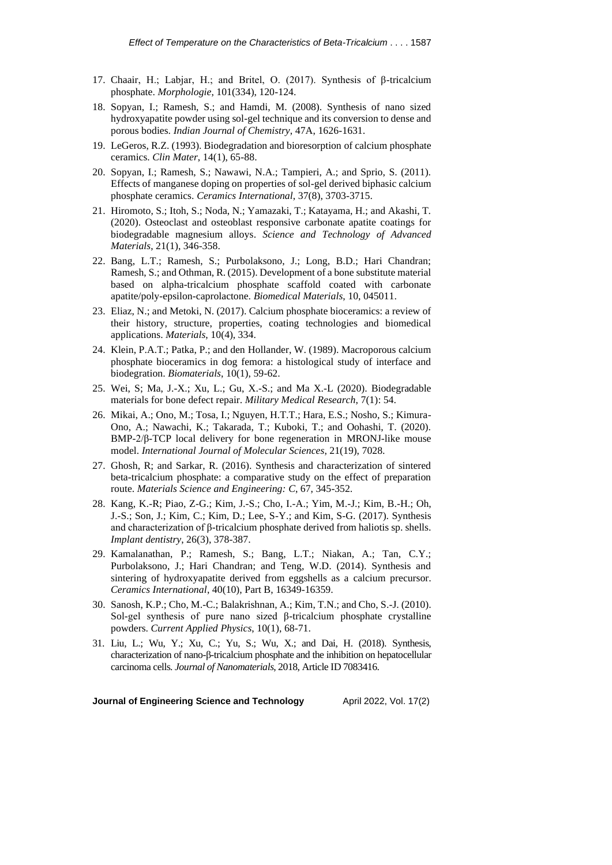- 17. Chaair, H.; Labjar, H.; and Britel, O. (2017). Synthesis of β-tricalcium phosphate. *Morphologie*, 101(334), 120-124.
- 18. Sopyan, I.; Ramesh, S.; and Hamdi, M. (2008). Synthesis of nano sized hydroxyapatite powder using sol-gel technique and its conversion to dense and porous bodies. *Indian Journal of Chemistry*, 47A, 1626-1631.
- 19. LeGeros, R.Z. (1993). Biodegradation and bioresorption of calcium phosphate ceramics. *Clin Mater*, 14(1), 65-88.
- 20. Sopyan, I.; Ramesh, S.; Nawawi, N.A.; Tampieri, A.; and Sprio, S. (2011). Effects of manganese doping on properties of sol-gel derived biphasic calcium phosphate ceramics. *Ceramics International*, 37(8), 3703-3715.
- 21. Hiromoto, S.; Itoh, S.; Noda, N.; Yamazaki, T.; Katayama, H.; and Akashi, T. (2020). Osteoclast and osteoblast responsive carbonate apatite coatings for biodegradable magnesium alloys. *Science and Technology of Advanced Materials*, 21(1), 346-358.
- 22. Bang, L.T.; Ramesh, S.; Purbolaksono, J.; Long, B.D.; Hari Chandran; Ramesh, S.; and Othman, R. (2015). Development of a bone substitute material based on alpha-tricalcium phosphate scaffold coated with carbonate apatite/poly-epsilon-caprolactone. *Biomedical Materials*, 10, 045011.
- 23. Eliaz, N.; and Metoki, N. (2017). Calcium phosphate bioceramics: a review of their history, structure, properties, coating technologies and biomedical applications. *Materials*, 10(4), 334.
- 24. Klein, P.A.T.; Patka, P.; and den Hollander, W. (1989). Macroporous calcium phosphate bioceramics in dog femora: a histological study of interface and biodegration. *Biomaterials*, 10(1), 59-62.
- 25. Wei, S; Ma, J.-X.; Xu, L.; Gu, X.-S.; and Ma X.-L (2020). Biodegradable materials for bone defect repair. *Military Medical Research*, 7(1): 54.
- 26. Mikai, A.; Ono, M.; Tosa, I.; Nguyen, H.T.T.; Hara, E.S.; Nosho, S.; Kimura-Ono, A.; Nawachi, K.; Takarada, T.; Kuboki, T.; and Oohashi, T. (2020). BMP-2/β-TCP local delivery for bone regeneration in MRONJ-like mouse model. *International Journal of Molecular Sciences*, 21(19), 7028.
- 27. Ghosh, R; and Sarkar, R. (2016). Synthesis and characterization of sintered beta-tricalcium phosphate: a comparative study on the effect of preparation route. *Materials Science and Engineering: C*, 67, 345-352.
- 28. Kang, K.-R; Piao, Z-G.; Kim, J.-S.; Cho, I.-A.; Yim, M.-J.; Kim, B.-H.; Oh, J.-S.; Son, J.; Kim, C.; Kim, D.; Lee, S-Y.; and Kim, S-G. (2017). Synthesis and characterization of β-tricalcium phosphate derived from haliotis sp. shells. *Implant dentistry*, 26(3), 378-387.
- 29. Kamalanathan, P.; Ramesh, S.; Bang, L.T.; Niakan, A.; Tan, C.Y.; Purbolaksono, J.; Hari Chandran; and Teng, W.D. (2014). Synthesis and sintering of hydroxyapatite derived from eggshells as a calcium precursor. *Ceramics International*, 40(10), Part B, 16349-16359.
- 30. Sanosh, K.P.; Cho, M.-C.; Balakrishnan, A.; Kim, T.N.; and Cho, S.-J. (2010). Sol-gel synthesis of pure nano sized β-tricalcium phosphate crystalline powders. *Current Applied Physics*, 10(1), 68-71.
- 31. Liu, L.; Wu, Y.; Xu, C.; Yu, S.; Wu, X.; and Dai, H. (2018). Synthesis, characterization of nano-β-tricalcium phosphate and the inhibition on hepatocellular carcinoma cells. *Journal of Nanomaterials*, 2018, Article ID 7083416.